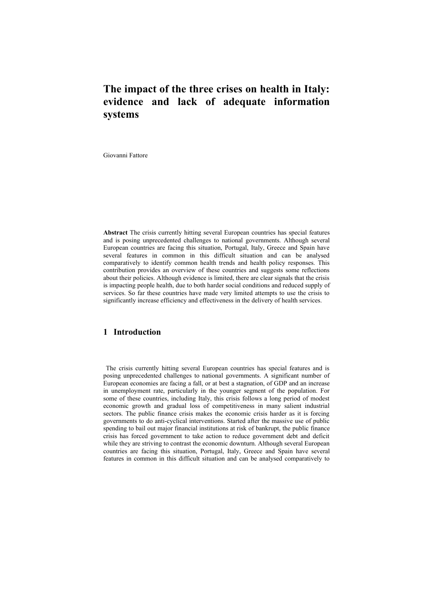# **The impact of the three crises on health in Italy: evidence and lack of adequate information systems**

Giovanni Fattore

**Abstract** The crisis currently hitting several European countries has special features and is posing unprecedented challenges to national governments. Although several European countries are facing this situation, Portugal, Italy, Greece and Spain have several features in common in this difficult situation and can be analysed comparatively to identify common health trends and health policy responses. This contribution provides an overview of these countries and suggests some reflections about their policies. Although evidence is limited, there are clear signals that the crisis is impacting people health, due to both harder social conditions and reduced supply of services. So far these countries have made very limited attempts to use the crisis to significantly increase efficiency and effectiveness in the delivery of health services.

# **1 Introduction**

The crisis currently hitting several European countries has special features and is posing unprecedented challenges to national governments. A significant number of European economies are facing a fall, or at best a stagnation, of GDP and an increase in unemployment rate, particularly in the younger segment of the population. For some of these countries, including Italy, this crisis follows a long period of modest economic growth and gradual loss of competitiveness in many salient industrial sectors. The public finance crisis makes the economic crisis harder as it is forcing governments to do anti-cyclical interventions. Started after the massive use of public spending to bail out major financial institutions at risk of bankrupt, the public finance crisis has forced government to take action to reduce government debt and deficit while they are striving to contrast the economic downturn. Although several European countries are facing this situation, Portugal, Italy, Greece and Spain have several features in common in this difficult situation and can be analysed comparatively to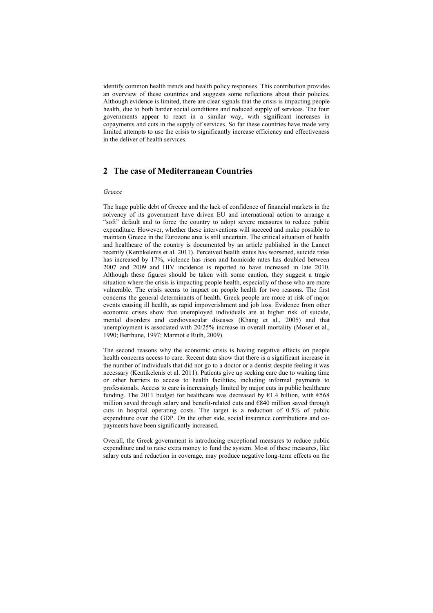identify common health trends and health policy responses. This contribution provides an overview of these countries and suggests some reflections about their policies. Although evidence is limited, there are clear signals that the crisis is impacting people health, due to both harder social conditions and reduced supply of services. The four governments appear to react in a similar way, with significant increases in copayments and cuts in the supply of services. So far these countries have made very limited attempts to use the crisis to significantly increase efficiency and effectiveness in the deliver of health services.

## **2 The case of Mediterranean Countries**

#### *Greece*

The huge public debt of Greece and the lack of confidence of financial markets in the solvency of its government have driven EU and international action to arrange a "soft" default and to force the country to adopt severe measures to reduce public expenditure. However, whether these interventions will succeed and make possible to maintain Greece in the Eurozone area is still uncertain. The critical situation of health and healthcare of the country is documented by an article published in the Lancet recently (Kentikelenis et al. 2011). Perceived health status has worsened, suicide rates has increased by 17%, violence has risen and homicide rates has doubled between 2007 and 2009 and HIV incidence is reported to have increased in late 2010. Although these figures should be taken with some caution, they suggest a tragic situation where the crisis is impacting people health, especially of those who are more vulnerable. The crisis seems to impact on people health for two reasons. The first concerns the general determinants of health. Greek people are more at risk of major events causing ill health, as rapid impoverishment and job loss. Evidence from other economic crises show that unemployed individuals are at higher risk of suicide, mental disorders and cardiovascular diseases (Khang et al., 2005) and that unemployment is associated with 20/25% increase in overall mortality (Moser et al., 1990; Berthune, 1997; Marmot e Ruth, 2009).

The second reasons why the economic crisis is having negative effects on people health concerns access to care. Recent data show that there is a significant increase in the number of individuals that did not go to a doctor or a dentist despite feeling it was necessary (Kentikelenis et al. 2011). Patients give up seeking care due to waiting time or other barriers to access to health facilities, including informal payments to professionals. Access to care is increasingly limited by major cuts in public healthcare funding. The 2011 budget for healthcare was decreased by  $\epsilon$ 1.4 billion, with  $\epsilon$ 568 million saved through salary and benefit-related cuts and €840 million saved through cuts in hospital operating costs. The target is a reduction of 0.5% of public expenditure over the GDP. On the other side, social insurance contributions and copayments have been significantly increased.

Overall, the Greek government is introducing exceptional measures to reduce public expenditure and to raise extra money to fund the system. Most of these measures, like salary cuts and reduction in coverage, may produce negative long-term effects on the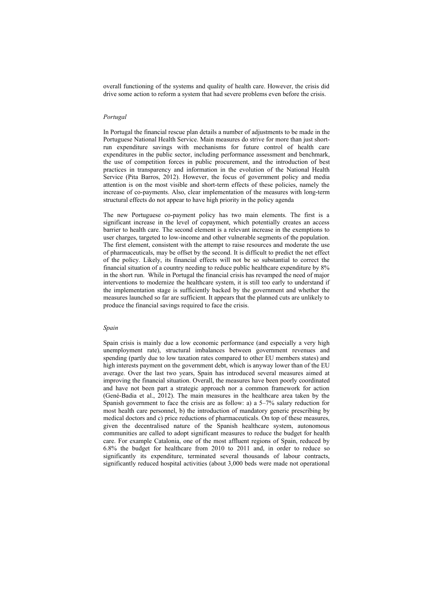overall functioning of the systems and quality of health care. However, the crisis did drive some action to reform a system that had severe problems even before the crisis.

#### *Portugal*

In Portugal the financial rescue plan details a number of adjustments to be made in the Portuguese National Health Service. Main measures do strive for more than just shortrun expenditure savings with mechanisms for future control of health care expenditures in the public sector, including performance assessment and benchmark, the use of competition forces in public procurement, and the introduction of best practices in transparency and information in the evolution of the National Health Service (Pita Barros, 2012). However, the focus of government policy and media attention is on the most visible and short-term effects of these policies, namely the increase of co-payments. Also, clear implementation of the measures with long-term structural effects do not appear to have high priority in the policy agenda

The new Portuguese co-payment policy has two main elements. The first is a significant increase in the level of copayment, which potentially creates an access barrier to health care. The second element is a relevant increase in the exemptions to user charges, targeted to low-income and other vulnerable segments of the population. The first element, consistent with the attempt to raise resources and moderate the use of pharmaceuticals, may be offset by the second. It is difficult to predict the net effect of the policy. Likely, its financial effects will not be so substantial to correct the financial situation of a country needing to reduce public healthcare expenditure by 8% in the short run. While in Portugal the financial crisis has revamped the need of major interventions to modernize the healthcare system, it is still too early to understand if the implementation stage is sufficiently backed by the government and whether the measures launched so far are sufficient. It appears that the planned cuts are unlikely to produce the financial savings required to face the crisis.

#### *Spain*

Spain crisis is mainly due a low economic performance (and especially a very high unemployment rate), structural imbalances between government revenues and spending (partly due to low taxation rates compared to other EU members states) and high interests payment on the government debt, which is anyway lower than of the EU average. Over the last two years, Spain has introduced several measures aimed at improving the financial situation. Overall, the measures have been poorly coordinated and have not been part a strategic approach nor a common framework for action (Gené-Badia et al., 2012). The main measures in the healthcare area taken by the Spanish government to face the crisis are as follow: a) a 5–7% salary reduction for most health care personnel, b) the introduction of mandatory generic prescribing by medical doctors and c) price reductions of pharmaceuticals. On top of these measures, given the decentralised nature of the Spanish healthcare system, autonomous communities are called to adopt significant measures to reduce the budget for health care. For example Catalonia, one of the most affluent regions of Spain, reduced by 6.8% the budget for healthcare from 2010 to 2011 and, in order to reduce so significantly its expenditure, terminated several thousands of labour contracts, significantly reduced hospital activities (about 3,000 beds were made not operational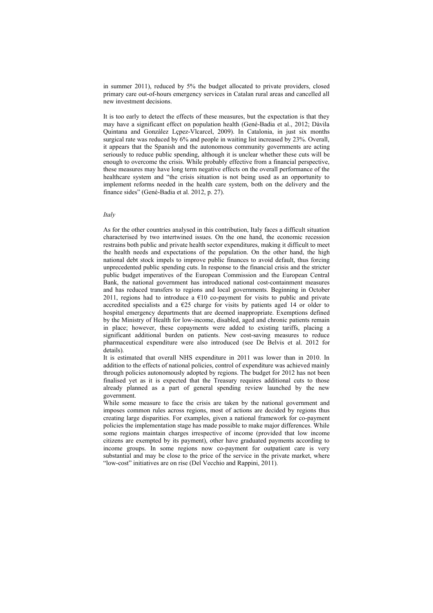in summer 2011), reduced by 5% the budget allocated to private providers, closed primary care out-of-hours emergency services in Catalan rural areas and cancelled all new investment decisions.

It is too early to detect the effects of these measures, but the expectation is that they may have a significant effect on population health (Gené-Badia et al., 2012; Dàvila Quintana and Gonzàlez Lçpez-Vlcarcel, 2009). In Catalonia, in just six months surgical rate was reduced by 6% and people in waiting list increased by 23%. Overall, it appears that the Spanish and the autonomous community governments are acting seriously to reduce public spending, although it is unclear whether these cuts will be enough to overcome the crisis. While probably effective from a financial perspective, these measures may have long term negative effects on the overall performance of the healthcare system and "the crisis situation is not being used as an opportunity to implement reforms needed in the health care system, both on the delivery and the finance sides" (Gené-Badia et al. 2012, p. 27).

#### *Italy*

As for the other countries analysed in this contribution, Italy faces a difficult situation characterised by two intertwined issues. On the one hand, the economic recession restrains both public and private health sector expenditures, making it difficult to meet the health needs and expectations of the population. On the other hand, the high national debt stock impels to improve public finances to avoid default, thus forcing unprecedented public spending cuts. In response to the financial crisis and the stricter public budget imperatives of the European Commission and the European Central Bank, the national government has introduced national cost-containment measures and has reduced transfers to regions and local governments. Beginning in October 2011, regions had to introduce a  $€10$  co-payment for visits to public and private accredited specialists and a  $E25$  charge for visits by patients aged 14 or older to hospital emergency departments that are deemed inappropriate. Exemptions defined by the Ministry of Health for low-income, disabled, aged and chronic patients remain in place; however, these copayments were added to existing tariffs, placing a significant additional burden on patients. New cost-saving measures to reduce pharmaceutical expenditure were also introduced (see De Belvis et al. 2012 for details).

It is estimated that overall NHS expenditure in 2011 was lower than in 2010. In addition to the effects of national policies, control of expenditure was achieved mainly through policies autonomously adopted by regions. The budget for 2012 has not been finalised yet as it is expected that the Treasury requires additional cuts to those already planned as a part of general spending review launched by the new government.

While some measure to face the crisis are taken by the national government and imposes common rules across regions, most of actions are decided by regions thus creating large disparities. For examples, given a national framework for co-payment policies the implementation stage has made possible to make major differences. While some regions maintain charges irrespective of income (provided that low income citizens are exempted by its payment), other have graduated payments according to income groups. In some regions now co-payment for outpatient care is very substantial and may be close to the price of the service in the private market, where "low-cost" initiatives are on rise (Del Vecchio and Rappini, 2011).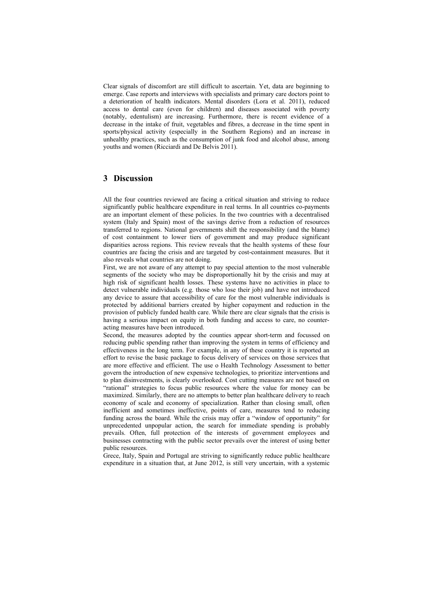Clear signals of discomfort are still difficult to ascertain. Yet, data are beginning to emerge. Case reports and interviews with specialists and primary care doctors point to a deterioration of health indicators. Mental disorders (Lora et al. 2011), reduced access to dental care (even for children) and diseases associated with poverty (notably, edentulism) are increasing. Furthermore, there is recent evidence of a decrease in the intake of fruit, vegetables and fibres, a decrease in the time spent in sports/physical activity (especially in the Southern Regions) and an increase in unhealthy practices, such as the consumption of junk food and alcohol abuse, among youths and women (Ricciardi and De Belvis 2011).

### **3 Discussion**

All the four countries reviewed are facing a critical situation and striving to reduce significantly public healthcare expenditure in real terms. In all countries co-payments are an important element of these policies. In the two countries with a decentralised system (Italy and Spain) most of the savings derive from a reduction of resources transferred to regions. National governments shift the responsibility (and the blame) of cost containment to lower tiers of government and may produce significant disparities across regions. This review reveals that the health systems of these four countries are facing the crisis and are targeted by cost-containment measures. But it also reveals what countries are not doing.

First, we are not aware of any attempt to pay special attention to the most vulnerable segments of the society who may be disproportionally hit by the crisis and may at high risk of significant health losses. These systems have no activities in place to detect vulnerable individuals (e.g. those who lose their job) and have not introduced any device to assure that accessibility of care for the most vulnerable individuals is protected by additional barriers created by higher copayment and reduction in the provision of publicly funded health care. While there are clear signals that the crisis is having a serious impact on equity in both funding and access to care, no counteracting measures have been introduced.

Second, the measures adopted by the counties appear short-term and focussed on reducing public spending rather than improving the system in terms of efficiency and effectiveness in the long term. For example, in any of these country it is reported an effort to revise the basic package to focus delivery of services on those services that are more effective and efficient. The use o Health Technology Assessment to better govern the introduction of new expensive technologies, to prioritize interventions and to plan disinvestments, is clearly overlooked. Cost cutting measures are not based on "rational" strategies to focus public resources where the value for money can be maximized. Similarly, there are no attempts to better plan healthcare delivery to reach economy of scale and economy of specialization. Rather than closing small, often inefficient and sometimes ineffective, points of care, measures tend to reducing funding across the board. While the crisis may offer a "window of opportunity" for unprecedented unpopular action, the search for immediate spending is probably prevails. Often, full protection of the interests of government employees and businesses contracting with the public sector prevails over the interest of using better public resources.

Grece, Italy, Spain and Portugal are striving to significantly reduce public healthcare expenditure in a situation that, at June 2012, is still very uncertain, with a systemic